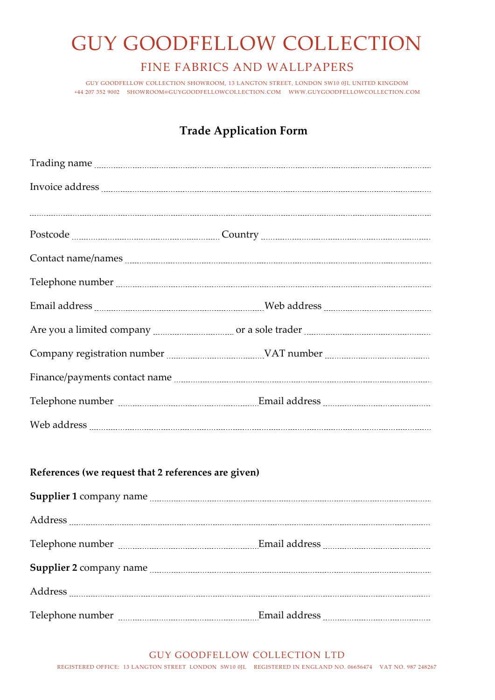# GUY GOODFELLOW COLLECTION

#### FINE FABRICS AND WALLPAPERS

GUY GOODFELLOW COLLECTION SHOWROOM, 13 LANGTON STREET, LONDON SW10 0JL UNITED KINGDOM +44 207 352 9002 [SHOWROOM@GUYGOODFELLOWCOLLECTION.COM](mailto:SHOWROOM@GUYGOODFELLOWCOLLECTION.COM) [WWW.GUYGOODFELLOWCOLLECTION.COM](http://www.guygoodfellowcollection.com/)

### **Trade Application Form**

| Trading name <b>contract the contract of the contract of the contract of the contract of the contract of the contract of the contract of the contract of the contract of the contract of the contract of the contract of the con</b> |
|--------------------------------------------------------------------------------------------------------------------------------------------------------------------------------------------------------------------------------------|
|                                                                                                                                                                                                                                      |
|                                                                                                                                                                                                                                      |
|                                                                                                                                                                                                                                      |
|                                                                                                                                                                                                                                      |
|                                                                                                                                                                                                                                      |
|                                                                                                                                                                                                                                      |
|                                                                                                                                                                                                                                      |
|                                                                                                                                                                                                                                      |
|                                                                                                                                                                                                                                      |
|                                                                                                                                                                                                                                      |
|                                                                                                                                                                                                                                      |

#### **References (we request that 2 references are given)**

REGISTERED OFFICE: 13 LANGTON STREET LONDON SW10 0JL REGISTERED IN ENGLAND NO. 06656474 VAT NO. 987 248267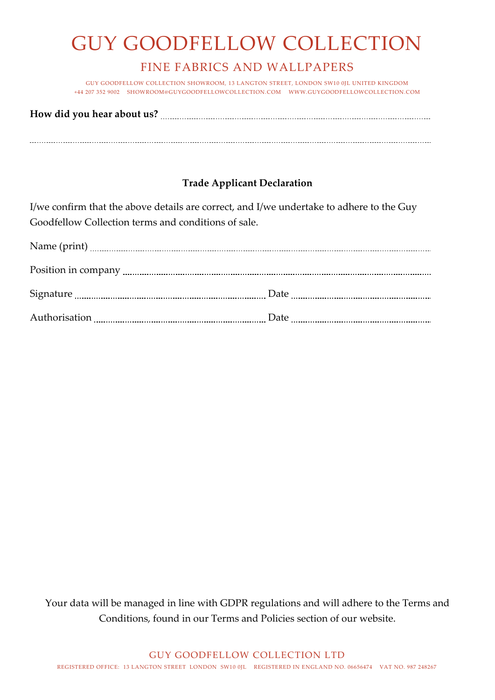# GUY GOODFELLOW COLLECTION

### FINE FABRICS AND WALLPAPERS

GUY GOODFELLOW COLLECTION SHOWROOM, 13 LANGTON STREET, LONDON SW10 0JL UNITED KINGDOM +44 207 352 9002 [SHOWROOM@GUYGOODFELLOWCOLLECTION.COM](mailto:SHOWROOM@GUYGOODFELLOWCOLLECTION.COM) [WWW.GUYGOODFELLOWCOLLECTION.COM](http://www.guygoodfellowcollection.com/)

**How did you hear about us?** 

#### **Trade Applicant Declaration**

I/we confirm that the above details are correct, and I/we undertake to adhere to the Guy Goodfellow Collection terms and conditions of sale.

| Date |
|------|
|      |

Your data will be managed in line with GDPR regulations and will adhere to the Terms and Conditions, found in our Terms and Policies section of our website.